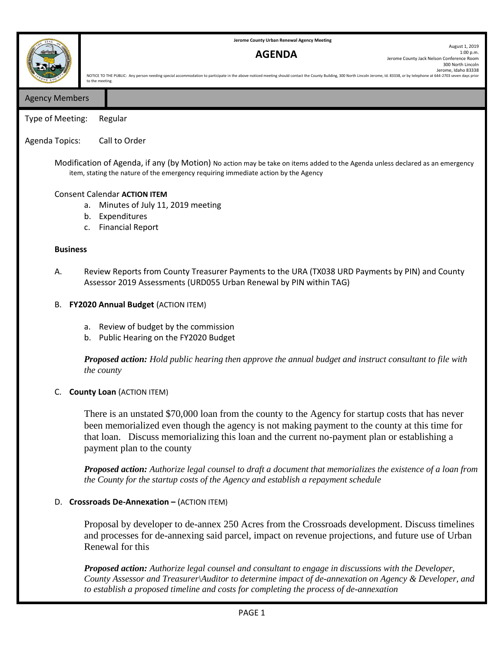**Jerome County Urban Renewal Agency Meeting**

# **AGENDA**

August 1, 2019 1:00 p.m. Jerome County Jack Nelson Conference Room 300 North Lincoln Jerome, Idaho 83338 NOTICE TO THE PUBLIC: Any person needing special accommodation to participate in the above-noticed meeting should contact the County Building, 300 North Lincoln Jerome, Id. 83338, or by telephone at 644-2703 seven days pri

Agency Members

12

Type of Meeting: Regular

## Agenda Topics: Call to Order

to the meeting.

Modification of Agenda, if any (by Motion) No action may be take on items added to the Agenda unless declared as an emergency item, stating the nature of the emergency requiring immediate action by the Agency

#### Consent Calendar **ACTION ITEM**

- a. Minutes of July 11, 2019 meeting
- b. Expenditures
- c. Financial Report

#### **Business**

A. Review Reports from County Treasurer Payments to the URA (TX038 URD Payments by PIN) and County Assessor 2019 Assessments (URD055 Urban Renewal by PIN within TAG)

#### B. **FY2020 Annual Budget** (ACTION ITEM)

- a. Review of budget by the commission
- b. Public Hearing on the FY2020 Budget

*Proposed action: Hold public hearing then approve the annual budget and instruct consultant to file with the county*

### C. **County Loan** (ACTION ITEM)

There is an unstated \$70,000 loan from the county to the Agency for startup costs that has never been memorialized even though the agency is not making payment to the county at this time for that loan. Discuss memorializing this loan and the current no-payment plan or establishing a payment plan to the county

*Proposed action: Authorize legal counsel to draft a document that memorializes the existence of a loan from the County for the startup costs of the Agency and establish a repayment schedule* 

### D. **Crossroads De-Annexation –** (ACTION ITEM)

Proposal by developer to de-annex 250 Acres from the Crossroads development. Discuss timelines and processes for de-annexing said parcel, impact on revenue projections, and future use of Urban Renewal for this

*Proposed action: Authorize legal counsel and consultant to engage in discussions with the Developer, County Assessor and Treasurer\Auditor to determine impact of de-annexation on Agency & Developer, and to establish a proposed timeline and costs for completing the process of de-annexation*